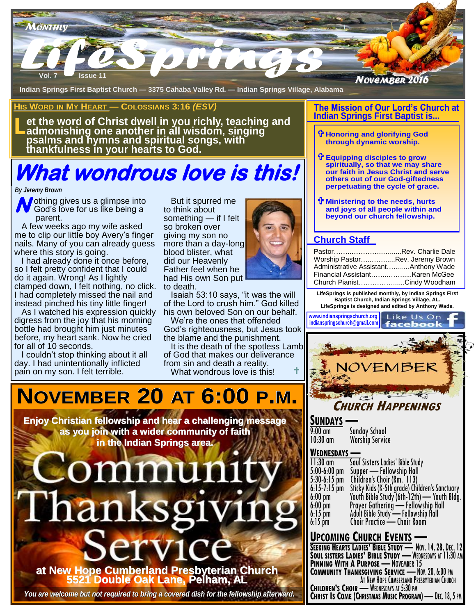

**Indian Springs First Baptist Church — 3375 Cahaba Valley Rd. — Indian Springs Village, Alabama** 

#### **HIS WORD IN MY HEART — COLOSSIANS 3:16** *(ESV)*

**L et the word of Christ dwell in you richly, teaching and admonishing one another in all wisdom, singing psalms and hymns and spiritual songs, with thankfulness in your hearts to God.**

# **What wondrous love is this!**

#### *By Jeremy Brown*

**N** othing gives us a glimpse into God's love for us like being a God's love for us like being a parent.

 A few weeks ago my wife asked me to clip our little boy Avery's finger nails. Many of you can already guess where this story is going.

 I had already done it once before, so I felt pretty confident that I could do it again. Wrong! As I lightly clamped down, I felt nothing, no click. I had completely missed the nail and instead pinched his tiny little finger!

 As I watched his expression quickly digress from the joy that his morning bottle had brought him just minutes before, my heart sank. Now he cried for all of 10 seconds.

 I couldn't stop thinking about it all day. I had unintentionally inflicted pain on my son. I felt terrible.

**Someth**<br>
someth<br>
asked so brok<br>
y's finger giving n<br>
ady guess more th<br>
blood b<br>
blood b<br>
blood b<br>
could Father t<br>
fly had His But it spurred me to think about something — if I felt so broken over giving my son no more than a day-long blood blister, what did our Heavenly Father feel when he had His own Son put to death.

> Isaiah 53:10 says, "it was the will of the Lord to crush him." God killed his own beloved Son on our behalf.

 We're the ones that offended God's righteousness, but Jesus took the blame and the punishment.

 It is the death of the spotless Lamb of God that makes our deliverance from sin and death a reality. What wondrous love is this!

# **NOVEMBER 20 AT 6:00 P.M.**

**Enjoy Christian fellowship and hear a challenging message as you join with a wider community of faith in the Indian Springs area.** 



*You are welcome but not required to bring a covered dish for the fellowship afterward.*

#### **The Mission of Our Lord's Church at Indian Springs First Baptist is...**

- **Honoring and glorifying God through dynamic worship.**
- **Equipping disciples to grow spiritually, so that we may share our faith in Jesus Christ and serve others out of our God-giftedness perpetuating the cycle of grace.**
- **Ministering to the needs, hurts and joys of all people within and beyond our church fellowship.**

## **Church Staff**

| PastorRev. Charlie Dale              |  |
|--------------------------------------|--|
| Worship PastorRev. Jeremy Brown      |  |
| Administrative AssistantAnthony Wade |  |
|                                      |  |
| Church PianistCindy Woodham          |  |

**LifeSprings is published monthly, by Indian Springs First Baptist Church, Indian Springs Village, AL. LifeSprings is designed and edited by Anthony Wade.** 

**www.indianspringschurch.org indianspringschurch@gmail.com** faceb



## **CHURCH HAPPENINGS**

**SUNDAYS —** 9:00 am Sunday School<br>10:30 am Worship Servic **Worship Service** 

## **WEDNESDAYS —**

| 11:30 am       | Soul Sisters Ladies' Bible Study               |
|----------------|------------------------------------------------|
| 5:00-6:00 pm   | Supper — Fellowship Hall                       |
| $5:30-6:15$ pm | Children's Choir (Rm. 113)                     |
| 6:15-7:15 pm   | Sticky Kids (K-5th grade) Children's Sanctuary |
| 6:00 pm        | Youth Bible Study (6th-12th) - Youth Bldg.     |
| $6:00$ pm      | Prayer Gathering - Fellowship Hall             |
| $6:15$ pm      | Adult Bible Study - Fellowship Hall            |
| 6:15 pm        | Choir Practice - Choir Room                    |
|                |                                                |

## **UPCOMING CHURCH EVENTS —**

**SEEKING HEARTS LADIES' BIBLE STUDY** — NOV. 14, 28, DEC. 12 **SOUL SISTERS LADIES' BIBLE STUDY** — WEDNESDAYS AT 11:30 AM **PINNING WITH A PURPOSE** — NOVEMBER 15 **COMMUNITY THANKSGIVING SERVICE** — NOV. 20, 6:00 PM AT NEW HOPE CUMBERLAND PRESBYTERIAN CHURCH **CHILDREN'S CHOIR** — WEDNESDAYS AT 5:30 PM **CHRIST IS COME (CHRISTMAS MUSIC PROGRAM)** — DEC. 18, 5 PM